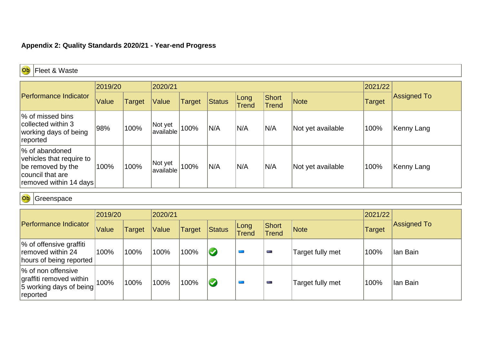## **Appendix 2: Quality Standards 2020/21 - Year-end Progress**

| Ob<br>Fleet & Waste                                                                                           |         |               |                      |               |        |               |                |                   |               |                    |
|---------------------------------------------------------------------------------------------------------------|---------|---------------|----------------------|---------------|--------|---------------|----------------|-------------------|---------------|--------------------|
|                                                                                                               | 2019/20 |               | 2020/21              |               |        | 2021/22       |                |                   |               |                    |
| Performance Indicator                                                                                         | Value   | <b>Target</b> | Value                | <b>Target</b> | Status | Long<br>Trend | Short<br>Trend | Note              | <b>Target</b> | <b>Assigned To</b> |
| % of missed bins<br>collected within 3<br>working days of being<br>reported                                   | 98%     | 100%          | Not yet<br>available | 100%          | N/A    | N/A           | N/A            | Not yet available | 100%          | Kenny Lang         |
| % of abandoned<br>vehicles that require to<br>be removed by the<br>council that are<br>removed within 14 days | 100%    | 100%          | Not yet<br>available | 100%          | N/A    | N/A           | N/A            | Not yet available | 100%          | Kenny Lang         |

Ob Greenspace

|                                                                                      | 2019/20 |               | 2020/21 |                                                                                         |                         | 2021/22 | Assigned To      |      |          |
|--------------------------------------------------------------------------------------|---------|---------------|---------|-----------------------------------------------------------------------------------------|-------------------------|---------|------------------|------|----------|
| Performance Indicator                                                                | Value   | <b>Target</b> | Value   | Short<br>Long<br>Status<br><b>Target</b><br><b>Note</b><br><b>Trend</b><br><b>Trend</b> |                         | Target  |                  |      |          |
| % of offensive graffiti<br>removed within 24<br>hours of being reported              | 100%    | 100%          | 100%    | 100%                                                                                    | $\blacktriangledown$    | e.      | Target fully met | 100% | lan Bain |
| % of non offensive<br>graffiti removed within<br>5 working days of being<br>reported | 100%    | 100%          | 100%    | 100%                                                                                    | $\overline{\mathsf{C}}$ | for a   | Target fully met | 100% | lan Bain |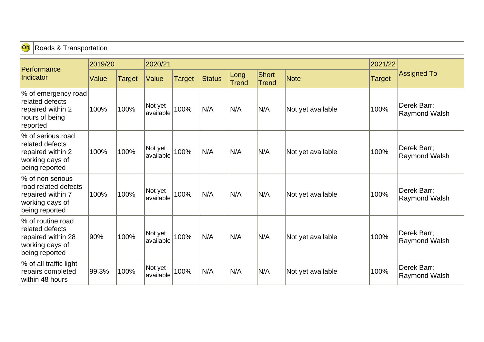| Ob<br><b>Roads &amp; Transportation</b>                                                            |         |        |                      |               |               |                      |                       |                   |        |                                     |
|----------------------------------------------------------------------------------------------------|---------|--------|----------------------|---------------|---------------|----------------------|-----------------------|-------------------|--------|-------------------------------------|
| Performance<br>Indicator                                                                           | 2019/20 |        |                      |               |               | 2021/22              |                       |                   |        |                                     |
|                                                                                                    | Value   | Target | Value                | <b>Target</b> | <b>Status</b> | Long<br><b>Trend</b> | Short<br><b>Trend</b> | Note              | Target | <b>Assigned To</b>                  |
| % of emergency road<br>related defects<br>repaired within 2<br>hours of being<br>reported          | 100%    | 100%   | Not yet<br>available | 100%          | N/A           | N/A                  | N/A                   | Not yet available | 100%   | Derek Barr;<br><b>Raymond Walsh</b> |
| % of serious road<br>related defects<br>repaired within 2<br>working days of<br>being reported     | 100%    | 100%   | Not yet<br>available | 100%          | N/A           | N/A                  | N/A                   | Not yet available | 100%   | Derek Barr;<br><b>Raymond Walsh</b> |
| % of non serious<br>road related defects<br>repaired within 7<br>working days of<br>being reported | 100%    | 100%   | Not yet<br>available | 100%          | N/A           | N/A                  | N/A                   | Not yet available | 100%   | Derek Barr;<br>Raymond Walsh        |
| % of routine road<br>related defects<br>repaired within 28<br>working days of<br>being reported    | 90%     | 100%   | Not yet<br>available | 100%          | N/A           | N/A                  | N/A                   | Not yet available | 100%   | Derek Barr;<br>Raymond Walsh        |
| % of all traffic light<br>repairs completed<br>within 48 hours                                     | 99.3%   | 100%   | Not yet<br>available | 100%          | N/A           | N/A                  | N/A                   | Not yet available | 100%   | Derek Barr;<br><b>Raymond Walsh</b> |